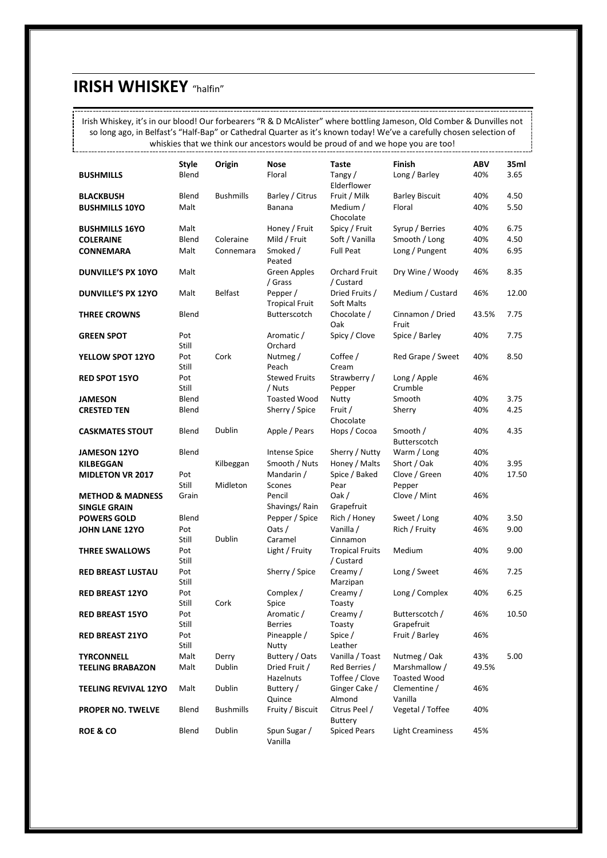### **IRISH WHISKEY** "halfin"

L

Irish Whiskey, it's in our blood! Our forbearers "R & D McAlister" where bottling Jameson, Old Comber & Dunvilles not so long ago, in Belfast's "Half-Bap" or Cathedral Quarter as it's known today! We've a carefully chosen selection of whiskies that we think our ancestors would be proud of and we hope you are too! -----------------------

|                             | <b>Style</b> | Origin           | Nose                              | Taste                               | <b>Finish</b>                        | <b>ABV</b> | 35ml  |
|-----------------------------|--------------|------------------|-----------------------------------|-------------------------------------|--------------------------------------|------------|-------|
| <b>BUSHMILLS</b>            | Blend        |                  | Floral                            | Tangy/<br>Elderflower               | Long / Barley                        | 40%        | 3.65  |
| <b>BLACKBUSH</b>            | Blend        | <b>Bushmills</b> | Barley / Citrus                   | Fruit / Milk                        | <b>Barley Biscuit</b>                | 40%        | 4.50  |
| <b>BUSHMILLS 10YO</b>       | Malt         |                  | Banana                            | Medium /<br>Chocolate               | Floral                               | 40%        | 5.50  |
| <b>BUSHMILLS 16YO</b>       | Malt         |                  | Honey / Fruit                     | Spicy / Fruit                       | Syrup / Berries                      | 40%        | 6.75  |
| <b>COLERAINE</b>            | Blend        | Coleraine        | Mild / Fruit                      | Soft / Vanilla                      | Smooth / Long                        | 40%        | 4.50  |
| <b>CONNEMARA</b>            | Malt         | Connemara        | Smoked /<br>Peated                | <b>Full Peat</b>                    | Long / Pungent                       | 40%        | 6.95  |
| <b>DUNVILLE'S PX 10YO</b>   | Malt         |                  | Green Apples<br>/ Grass           | Orchard Fruit<br>/ Custard          | Dry Wine / Woody                     | 46%        | 8.35  |
| <b>DUNVILLE'S PX 12YO</b>   | Malt         | <b>Belfast</b>   | Pepper /<br><b>Tropical Fruit</b> | Dried Fruits /<br>Soft Malts        | Medium / Custard                     | 46%        | 12.00 |
| <b>THREE CROWNS</b>         | Blend        |                  | Butterscotch                      | Chocolate /<br>Oak                  | Cinnamon / Dried<br>Fruit            | 43.5%      | 7.75  |
| <b>GREEN SPOT</b>           | Pot<br>Still |                  | Aromatic /<br>Orchard             | Spicy / Clove                       | Spice / Barley                       | 40%        | 7.75  |
| YELLOW SPOT 12YO            | Pot<br>Still | Cork             | Nutmeg /<br>Peach                 | Coffee /<br>Cream                   | Red Grape / Sweet                    | 40%        | 8.50  |
| <b>RED SPOT 15YO</b>        | Pot<br>Still |                  | <b>Stewed Fruits</b><br>/ Nuts    | Strawberry /<br>Pepper              | Long / Apple<br>Crumble              | 46%        |       |
| <b>JAMESON</b>              | Blend        |                  | <b>Toasted Wood</b>               | Nutty                               | Smooth                               | 40%        | 3.75  |
| <b>CRESTED TEN</b>          | Blend        |                  | Sherry / Spice                    | Fruit /<br>Chocolate                | Sherry                               | 40%        | 4.25  |
| <b>CASKMATES STOUT</b>      | Blend        | Dublin           | Apple / Pears                     | Hops / Cocoa                        | Smooth /<br>Butterscotch             | 40%        | 4.35  |
| <b>JAMESON 12YO</b>         | Blend        |                  | Intense Spice                     | Sherry / Nutty                      | Warm / Long                          | 40%        |       |
| <b>KILBEGGAN</b>            |              | Kilbeggan        | Smooth / Nuts                     | Honey / Malts                       | Short / Oak                          | 40%        | 3.95  |
| <b>MIDLETON VR 2017</b>     | Pot          |                  | Mandarin /                        | Spice / Baked                       | Clove / Green                        | 40%        | 17.50 |
|                             | Still        | Midleton         | Scones                            | Pear                                | Pepper                               |            |       |
| <b>METHOD &amp; MADNESS</b> | Grain        |                  | Pencil                            | Oak /                               | Clove / Mint                         | 46%        |       |
| <b>SINGLE GRAIN</b>         |              |                  | Shavings/Rain                     | Grapefruit                          |                                      |            |       |
| <b>POWERS GOLD</b>          | Blend        |                  | Pepper / Spice                    | Rich / Honey                        | Sweet / Long                         | 40%        | 3.50  |
| <b>JOHN LANE 12YO</b>       | Pot          |                  | Oats /                            | Vanilla /                           | Rich / Fruity                        | 46%        | 9.00  |
|                             | Still        | Dublin           | Caramel                           | Cinnamon                            |                                      |            |       |
| <b>THREE SWALLOWS</b>       | Pot<br>Still |                  | Light / Fruity                    | <b>Tropical Fruits</b><br>/ Custard | Medium                               | 40%        | 9.00  |
| <b>RED BREAST LUSTAU</b>    | Pot<br>Still |                  | Sherry / Spice                    | Creamy/<br>Marzipan                 | Long / Sweet                         | 46%        | 7.25  |
| <b>RED BREAST 12YO</b>      | Pot<br>Still | Cork             | Complex /<br>Spice                | Creamy /<br>Toasty                  | Long / Complex                       | 40%        | 6.25  |
| <b>RED BREAST 15YO</b>      | Pot<br>Still |                  | Aromatic /<br>Berries             | Creamy /<br>Toasty                  | Butterscotch /<br>Grapefruit         | 46%        | 10.50 |
| <b>RED BREAST 21YO</b>      | Pot<br>Still |                  | Pineapple /<br>Nutty              | Spice /<br>Leather                  | Fruit / Barley                       | 46%        |       |
| <b>TYRCONNELL</b>           | Malt         | Derry            | Buttery / Oats                    | Vanilla / Toast                     | Nutmeg / Oak                         | 43%        | 5.00  |
| <b>TEELING BRABAZON</b>     | Malt         | Dublin           | Dried Fruit /<br>Hazelnuts        | Red Berries /<br>Toffee / Clove     | Marshmallow /<br><b>Toasted Wood</b> | 49.5%      |       |
| <b>TEELING REVIVAL 12YO</b> | Malt         | Dublin           | Buttery /<br>Quince               | Ginger Cake /<br>Almond             | Clementine /<br>Vanilla              | 46%        |       |
| <b>PROPER NO. TWELVE</b>    | Blend        | <b>Bushmills</b> | Fruity / Biscuit                  | Citrus Peel /<br><b>Buttery</b>     | Vegetal / Toffee                     | 40%        |       |
| <b>ROE &amp; CO</b>         | Blend        | Dublin           | Spun Sugar /<br>Vanilla           | <b>Spiced Pears</b>                 | <b>Light Creaminess</b>              | 45%        |       |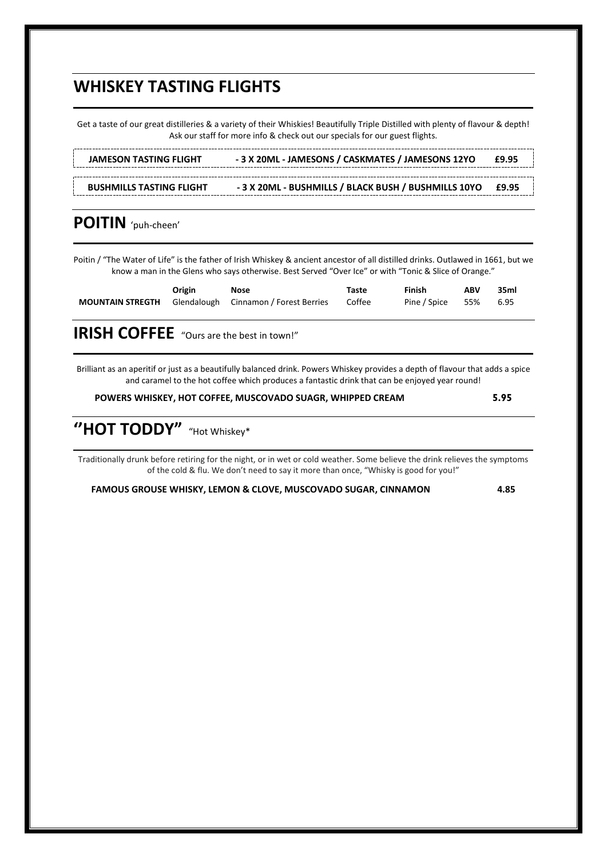### **WHISKEY TASTING FLIGHTS**

Get a taste of our great distilleries & a variety of their Whiskies! Beautifully Triple Distilled with plenty of flavour & depth! Ask our staff for more info & check out our specials for our guest flights.

**JAMESON TASTING FLIGHT - 3 X 20ML - JAMESONS / CASKMATES / JAMESONS 12YO £9.95BUSHMILLS TASTING FLIGHT - 3 X 20ML - BUSHMILLS / BLACK BUSH / BUSHMILLS 10YO £9.95**

#### **POITIN** 'puh-cheen'

Poitin / "The Water of Life" is the father of Irish Whiskey & ancient ancestor of all distilled drinks. Outlawed in 1661, but we know a man in the Glens who says otherwise. Best Served "Over Ice" or with "Tonic & Slice of Orange."

| Origin | Nose                                                                 | Taste | Finish                | <b>ABV</b> | 35ml |
|--------|----------------------------------------------------------------------|-------|-----------------------|------------|------|
|        | <b>MOUNTAIN STREGTH</b> Glendalough Cinnamon / Forest Berries Coffee |       | Pine / Spice 55% 6.95 |            |      |

**IRISH COFFEE** "Ours are the best in town!"

Brilliant as an aperitif or just as a beautifully balanced drink. Powers Whiskey provides a depth of flavour that adds a spice and caramel to the hot coffee which produces a fantastic drink that can be enjoyed year round!

**POWERS WHISKEY, HOT COFFEE, MUSCOVADO SUAGR, WHIPPED CREAM 5.95**

**''HOT TODDY"** "Hot Whiskey\*

Traditionally drunk before retiring for the night, or in wet or cold weather. Some believe the drink relieves the symptoms of the cold & flu. We don't need to say it more than once, "Whisky is good for you!"

**FAMOUS GROUSE WHISKY, LEMON & CLOVE, MUSCOVADO SUGAR, CINNAMON 4.85**